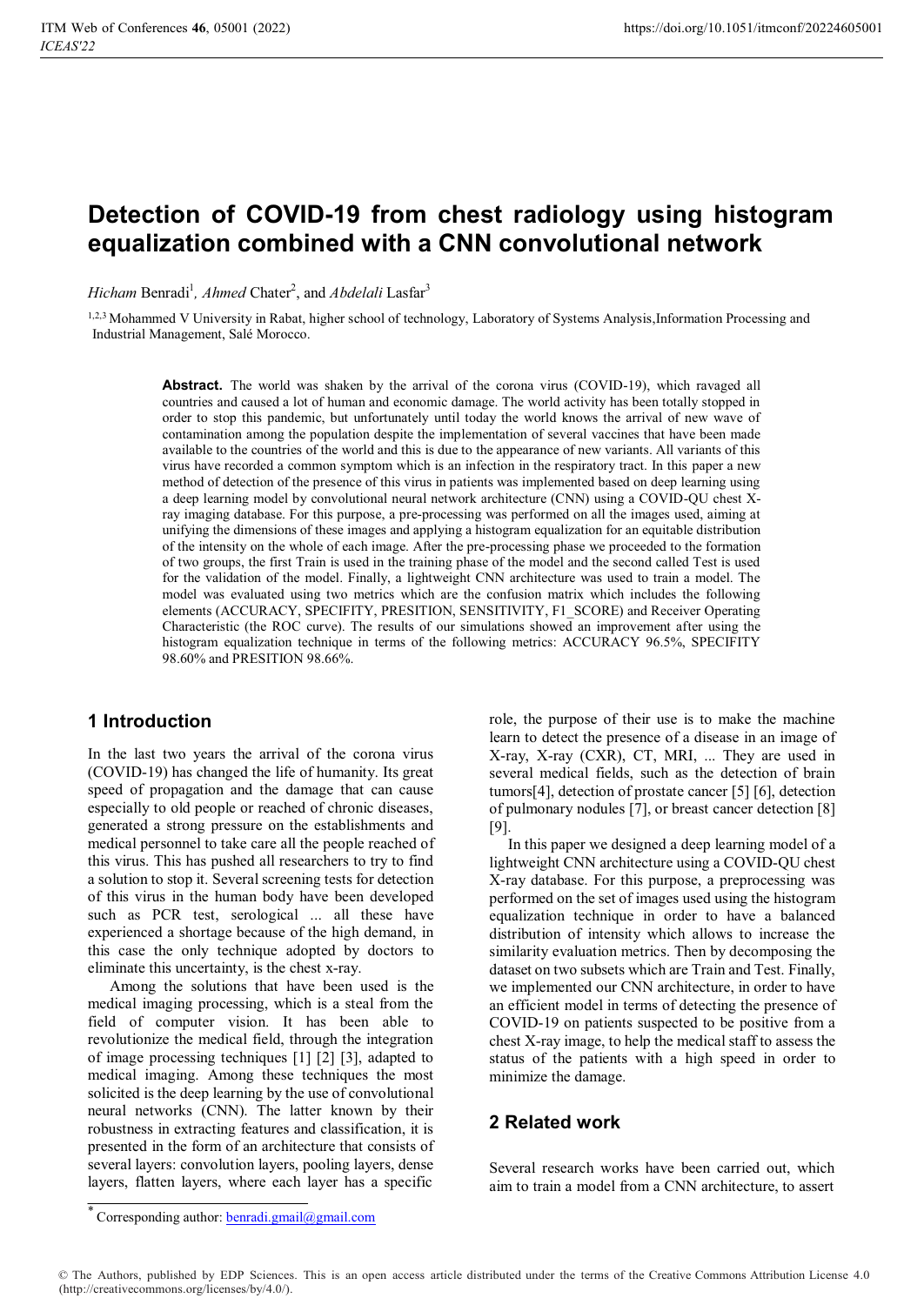# **Detection of COVID-19 from chest radiology using histogram equalization combined with a CNN convolutional network**

*Hicham* Benradi<sup>1</sup>, Ahmed Chater<sup>2</sup>, and Abdelali Lasfar<sup>3</sup>

1,2,3 Mohammed V University in Rabat, higher school of technology, Laboratory of Systems Analysis, Information Processing and Industrial Management, Salé Morocco.

> **Abstract.** The world was shaken by the arrival of the corona virus (COVID-19), which ravaged all countries and caused a lot of human and economic damage. The world activity has been totally stopped in order to stop this pandemic, but unfortunately until today the world knows the arrival of new wave of contamination among the population despite the implementation of several vaccines that have been made available to the countries of the world and this is due to the appearance of new variants. All variants of this virus have recorded a common symptom which is an infection in the respiratory tract. In this paper a new method of detection of the presence of this virus in patients was implemented based on deep learning using a deep learning model by convolutional neural network architecture (CNN) using a COVID-QU chest Xray imaging database. For this purpose, a pre-processing was performed on all the images used, aiming at unifying the dimensions of these images and applying a histogram equalization for an equitable distribution of the intensity on the whole of each image. After the pre-processing phase we proceeded to the formation of two groups, the first Train is used in the training phase of the model and the second called Test is used for the validation of the model. Finally, a lightweight CNN architecture was used to train a model. The model was evaluated using two metrics which are the confusion matrix which includes the following elements (ACCURACY, SPECIFITY, PRESITION, SENSITIVITY, F1\_SCORE) and Receiver Operating Characteristic (the ROC curve). The results of our simulations showed an improvement after using the histogram equalization technique in terms of the following metrics: ACCURACY 96.5%, SPECIFITY 98.60% and PRESITION 98.66%.

# **1 Introduction**

In the last two years the arrival of the corona virus (COVID-19) has changed the life of humanity. Its great speed of propagation and the damage that can cause especially to old people or reached of chronic diseases, generated a strong pressure on the establishments and medical personnel to take care all the people reached of this virus. This has pushed all researchers to try to find a solution to stop it. Several screening tests for detection of this virus in the human body have been developed such as PCR test, serological ... all these have experienced a shortage because of the high demand, in this case the only technique adopted by doctors to eliminate this uncertainty, is the chest x-ray.

Among the solutions that have been used is the medical imaging processing, which is a steal from the field of computer vision. It has been able to revolutionize the medical field, through the integration of image processing techniques [1] [2] [3], adapted to medical imaging. Among these techniques the most solicited is the deep learning by the use of convolutional neural networks (CNN). The latter known by their robustness in extracting features and classification, it is presented in the form of an architecture that consists of several layers: convolution layers, pooling layers, dense layers, flatten layers, where each layer has a specific

role, the purpose of their use is to make the machine learn to detect the presence of a disease in an image of X-ray, X-ray (CXR), CT, MRI, ... They are used in several medical fields, such as the detection of brain tumors[4], detection of prostate cancer [5] [6], detection of pulmonary nodules [7], or breast cancer detection [8] [9].

In this paper we designed a deep learning model of a lightweight CNN architecture using a COVID-QU chest X-ray database. For this purpose, a preprocessing was performed on the set of images used using the histogram equalization technique in order to have a balanced distribution of intensity which allows to increase the similarity evaluation metrics. Then by decomposing the dataset on two subsets which are Train and Test. Finally, we implemented our CNN architecture, in order to have an efficient model in terms of detecting the presence of COVID-19 on patients suspected to be positive from a chest X-ray image, to help the medical staff to assess the status of the patients with a high speed in order to minimize the damage.

# **2 Related work**

Several research works have been carried out, which aim to train a model from a CNN architecture, to assert

Corresponding author: benradi.gmail@gmail.com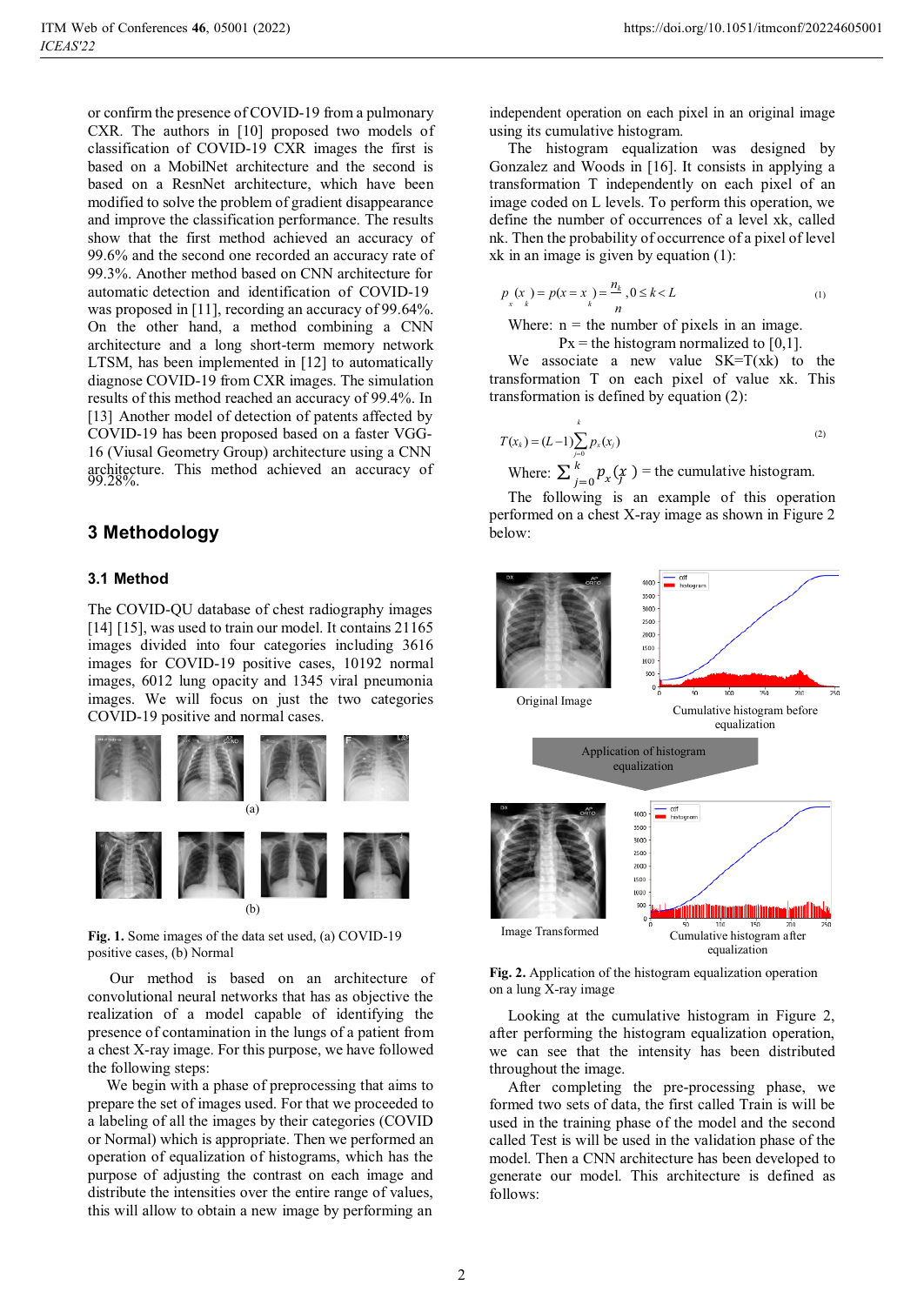or confirm the presence of COVID-19 from a pulmonary CXR. The authors in [10] proposed two models of classification of COVID-19 CXR images the first is based on a MobilNet architecture and the second is based on a ResnNet architecture, which have been modified to solve the problem of gradient disappearance and improve the classification performance. The results show that the first method achieved an accuracy of 99.6% and the second one recorded an accuracy rate of 99.3%. Another method based on CNN architecture for automatic detection and identification of COVID-19 was proposed in [11], recording an accuracy of 99.64%. On the other hand, a method combining a CNN architecture and a long short-term memory network LTSM, has been implemented in [12] to automatically diagnose COVID-19 from CXR images. The simulation results of this method reached an accuracy of 99.4%. In [13] Another model of detection of patents affected by COVID-19 has been proposed based on a faster VGG-16 (Viusal Geometry Group) architecture using a CNN architecture. This method achieved an accuracy of Where:  $\sum_{j=0}^{k} p_x(\hat{x})$  = the cumulative histogram.<br>99.28%.

# **3 Methodology**

# **3.1 Method**

The COVID-QU database of chest radiography images [14] [15], was used to train our model. It contains 21165 images divided into four categories including 3616 images for COVID-19 positive cases, 10192 normal images, 6012 lung opacity and 1345 viral pneumonia images. We will focus on just the two categories COVID-19 positive and normal cases.



**Fig. 1.** Some images of the data set used, (a) COVID-19 positive cases, (b) Normal

Our method is based on an architecture of convolutional neural networks that has as objective the realization of a model capable of identifying the presence of contamination in the lungs of a patient from a chest X-ray image. For this purpose, we have followed the following steps:

We begin with a phase of preprocessing that aims to prepare the set of images used. For that we proceeded to a labeling of all the images by their categories (COVID or Normal) which is appropriate. Then we performed an operation of equalization of histograms, which has the purpose of adjusting the contrast on each image and distribute the intensities over the entire range of values, this will allow to obtain a new image by performing an

independent operation on each pixel in an original image using its cumulative histogram.

The histogram equalization was designed by Gonzalez and Woods in [16]. It consists in applying a transformation T independently on each pixel of an image coded on L levels. To perform this operation, we define the number of occurrences of a level xk, called nk. Then the probability of occurrence of a pixel of level xk in an image is given by equation (1):

$$
p_{\left(x\atop x\right)} = p(x = x) = \frac{n_k}{n}, 0 \le k < L \tag{1}
$$

Where:  $n =$  the number of pixels in an image.

 $Px =$  the histogram normalized to [0,1].

We associate a new value  $SK=T(xk)$  to the transformation T on each pixel of value xk. This transformation is defined by equation (2):

$$
T(x_k) = (L-1)\sum_{j=0}^{k} p_x(x_j)
$$
 (2)

 $\sum_{i=0}^{k} p_{x}(x)$ 

The following is an example of this operation performed on a chest X-ray image as shown in Figure 2 below:



**Fig. 2.** Application of the histogram equalization operation on a lung X-ray image

Looking at the cumulative histogram in Figure 2, after performing the histogram equalization operation, we can see that the intensity has been distributed throughout the image.

After completing the pre-processing phase, we formed two sets of data, the first called Train is will be used in the training phase of the model and the second called Test is will be used in the validation phase of the model. Then a CNN architecture has been developed to generate our model. This architecture is defined as follows: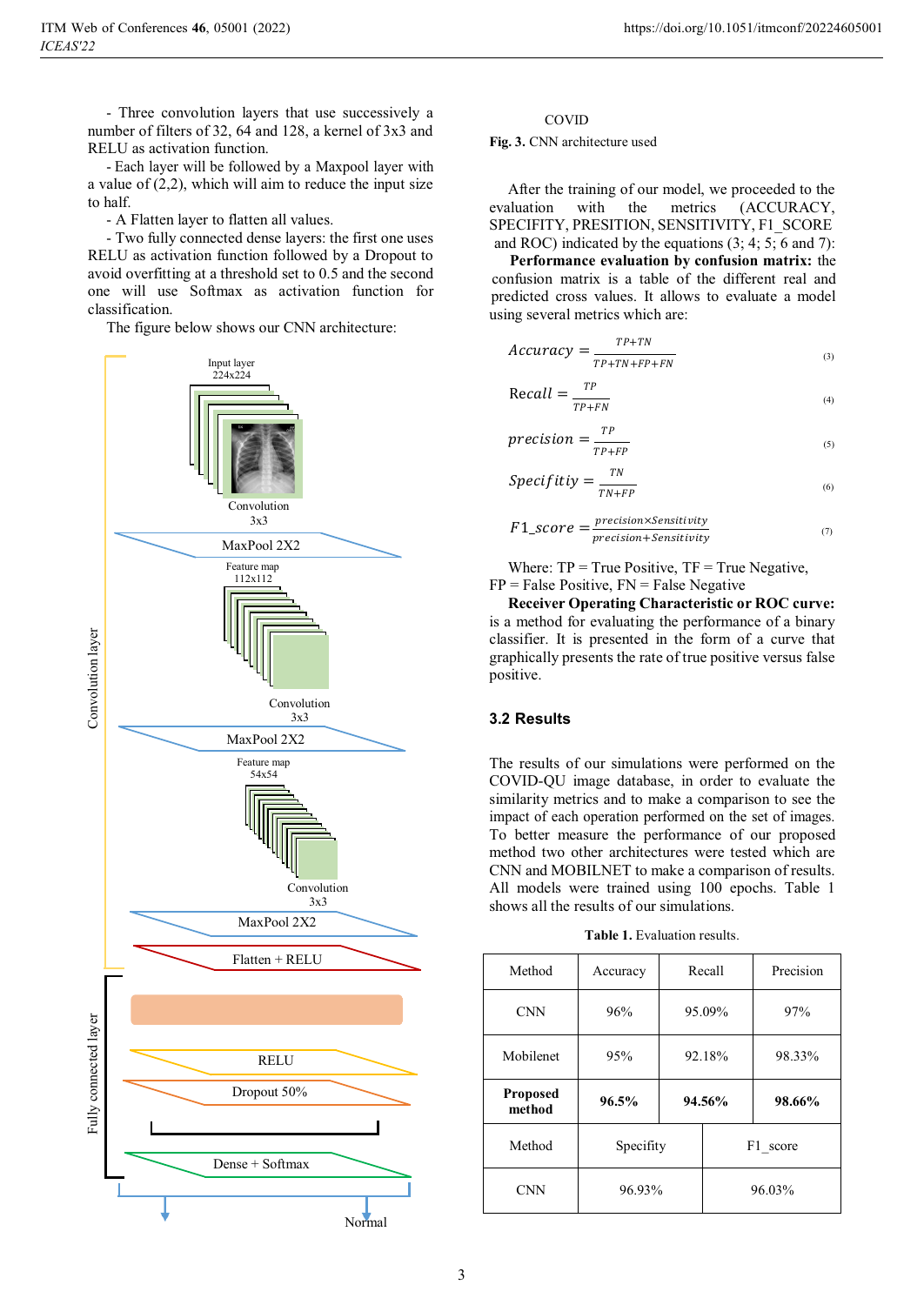- Three convolution layers that use successively a number of filters of 32, 64 and 128, a kernel of 3x3 and RELU as activation function.

- Each layer will be followed by a Maxpool layer with a value of (2,2), which will aim to reduce the input size to half.

- A Flatten layer to flatten all values.

- Two fully connected dense layers: the first one uses RELU as activation function followed by a Dropout to avoid overfitting at a threshold set to 0.5 and the second one will use Softmax as activation function for classification.

The figure below shows our CNN architecture:



#### COVID

**Fig. 3.** CNN architecture used

After the training of our model, we proceeded to the evaluation with the metrics (ACCURACY, SPECIFITY, PRESITION, SENSITIVITY, F1\_SCORE and ROC) indicated by the equations (3; 4; 5; 6 and 7):

**Performance evaluation by confusion matrix:** the confusion matrix is a table of the different real and predicted cross values. It allows to evaluate a model using several metrics which are:

$$
Accuracy = \frac{TP + TN}{TP + TN + FP + FN}
$$
\n(3)

$$
Recall = \frac{TP}{TP+FN}
$$
 (4)

$$
precision = \frac{TP}{TP + FP}
$$
 (5)

$$
Specificity = \frac{TN}{TN + FP}
$$
 (6)

$$
F1\_score = \frac{precision \times Sensitivity}{precision + Sensitivity}
$$
 (7)

Where:  $TP = True Positive$ ,  $TF = True Negative$ ,  $FP = False Positive, FN = False Negative$ 

**Receiver Operating Characteristic or ROC curve:**  is a method for evaluating the performance of a binary classifier. It is presented in the form of a curve that graphically presents the rate of true positive versus false positive.

# **3.2 Results**

The results of our simulations were performed on the COVID-QU image database, in order to evaluate the similarity metrics and to make a comparison to see the impact of each operation performed on the set of images. To better measure the performance of our proposed method two other architectures were tested which are CNN and MOBILNET to make a comparison of results. All models were trained using 100 epochs. Table 1 shows all the results of our simulations.

**Table 1.** Evaluation results.

| Method                    | Accuracy  | Recall |          | Precision |
|---------------------------|-----------|--------|----------|-----------|
| <b>CNN</b>                | 96%       | 95.09% |          | 97%       |
| Mobilenet                 | 95%       | 92.18% |          | 98.33%    |
| <b>Proposed</b><br>method | 96.5%     | 94.56% |          | 98.66%    |
| Method                    | Specifity |        | F1 score |           |
| <b>CNN</b>                | 96.93%    |        | 96.03%   |           |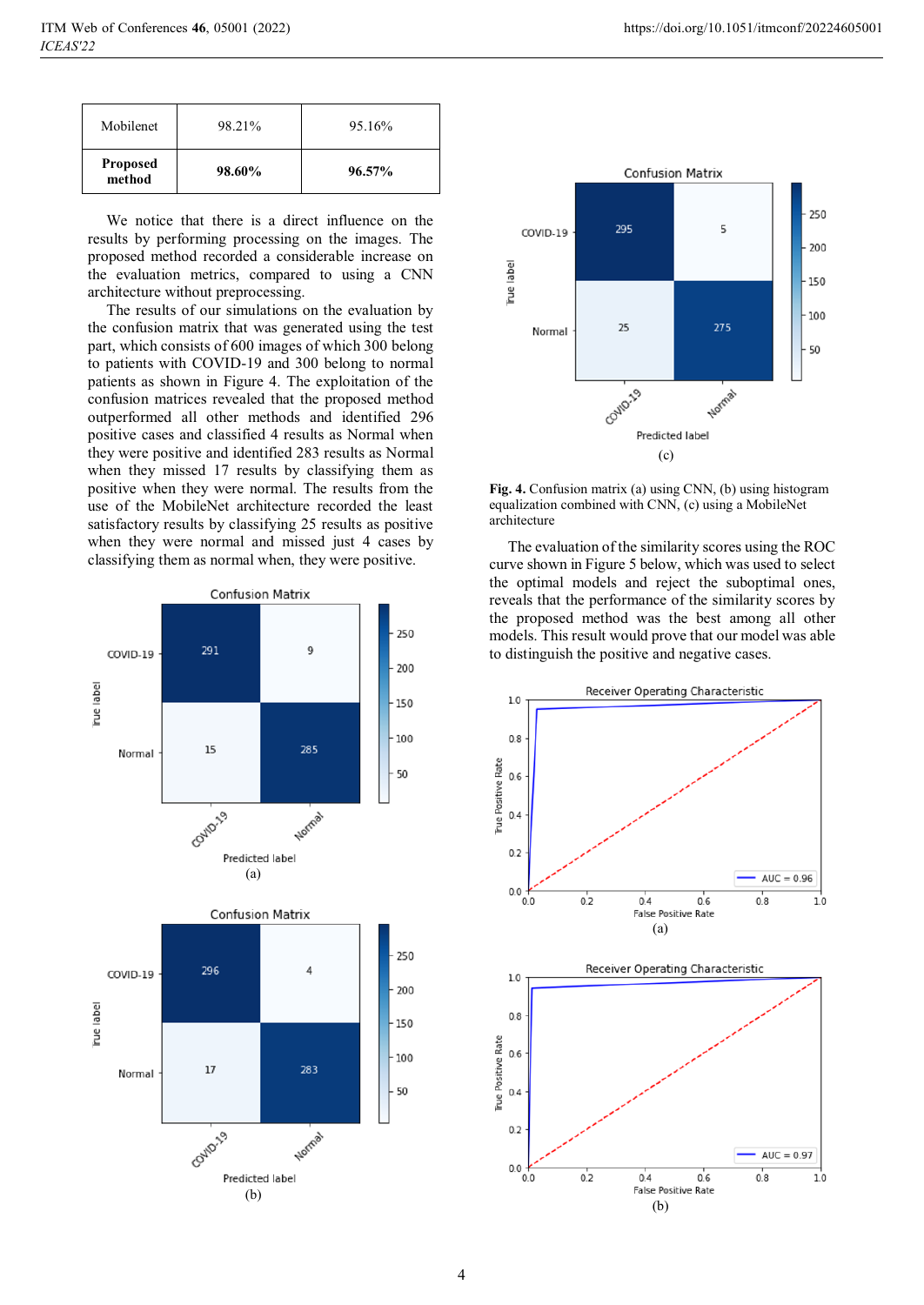| Mobilenet                 | 98.21% | 95.16%    |
|---------------------------|--------|-----------|
| <b>Proposed</b><br>method | 98.60% | $96.57\%$ |

We notice that there is a direct influence on the results by performing processing on the images. The proposed method recorded a considerable increase on the evaluation metrics, compared to using a CNN architecture without preprocessing.

The results of our simulations on the evaluation by the confusion matrix that was generated using the test part, which consists of 600 images of which 300 belong to patients with COVID-19 and 300 belong to normal patients as shown in Figure 4. The exploitation of the confusion matrices revealed that the proposed method outperformed all other methods and identified 296 positive cases and classified 4 results as Normal when they were positive and identified 283 results as Normal when they missed 17 results by classifying them as positive when they were normal. The results from the use of the MobileNet architecture recorded the least satisfactory results by classifying 25 results as positive when they were normal and missed just 4 cases by classifying them as normal when, they were positive.





**Fig. 4.** Confusion matrix (a) using CNN, (b) using histogram equalization combined with CNN, (c) using a MobileNet architecture

The evaluation of the similarity scores using the ROC curve shown in Figure 5 below, which was used to select the optimal models and reject the suboptimal ones, reveals that the performance of the similarity scores by the proposed method was the best among all other models. This result would prove that our model was able to distinguish the positive and negative cases.

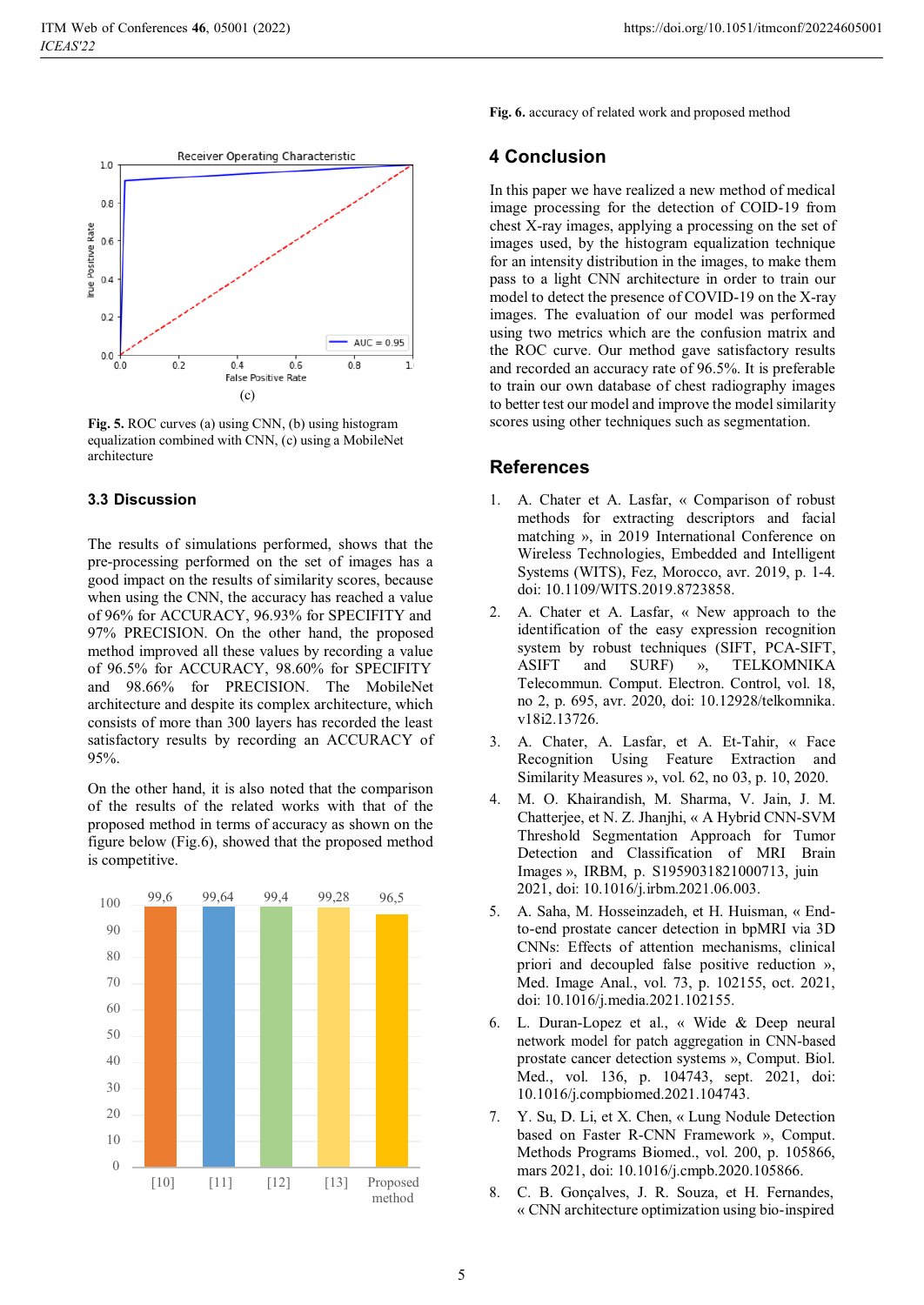

**Fig. 5.** ROC curves (a) using CNN, (b) using histogram equalization combined with CNN, (c) using a MobileNet architecture

### **3.3 Discussion**

The results of simulations performed, shows that the pre-processing performed on the set of images has a good impact on the results of similarity scores, because when using the CNN, the accuracy has reached a value of 96% for ACCURACY, 96.93% for SPECIFITY and 97% PRECISION. On the other hand, the proposed method improved all these values by recording a value of 96.5% for ACCURACY, 98.60% for SPECIFITY and 98.66% for PRECISION. The MobileNet architecture and despite its complex architecture, which consists of more than 300 layers has recorded the least satisfactory results by recording an ACCURACY of 95%.

On the other hand, it is also noted that the comparison of the results of the related works with that of the proposed method in terms of accuracy as shown on the figure below (Fig.6), showed that the proposed method is competitive.



**Fig. 6.** accuracy of related work and proposed method

# **4 Conclusion**

In this paper we have realized a new method of medical image processing for the detection of COID-19 from chest X-ray images, applying a processing on the set of images used, by the histogram equalization technique for an intensity distribution in the images, to make them pass to a light CNN architecture in order to train our model to detect the presence of COVID-19 on the X-ray images. The evaluation of our model was performed using two metrics which are the confusion matrix and the ROC curve. Our method gave satisfactory results and recorded an accuracy rate of 96.5%. It is preferable to train our own database of chest radiography images to better test our model and improve the model similarity scores using other techniques such as segmentation.

# **References**

- 1. A. Chater et A. Lasfar, « Comparison of robust methods for extracting descriptors and facial matching », in 2019 International Conference on Wireless Technologies, Embedded and Intelligent Systems (WITS), Fez, Morocco, avr. 2019, p. 1‑4. doi: 10.1109/WITS.2019.8723858.
- 2. A. Chater et A. Lasfar, « New approach to the identification of the easy expression recognition system by robust techniques (SIFT, PCA-SIFT, ASIFT and SURF) », TELKOMNIKA Telecommun. Comput. Electron. Control, vol. 18, no 2, p. 695, avr. 2020, doi: 10.12928/telkomnika. v18i2.13726.
- 3. A. Chater, A. Lasfar, et A. Et-Tahir, « Face Recognition Using Feature Extraction and Similarity Measures », vol. 62, no 03, p. 10, 2020.
- 4. M. O. Khairandish, M. Sharma, V. Jain, J. M. Chatterjee, et N. Z. Jhanjhi, « A Hybrid CNN-SVM Threshold Segmentation Approach for Tumor Detection and Classification of MRI Brain Images », IRBM, p. S1959031821000713, juin 2021, doi: 10.1016/j.irbm.2021.06.003.
- 5. A. Saha, M. Hosseinzadeh, et H. Huisman, « Endto-end prostate cancer detection in bpMRI via 3D CNNs: Effects of attention mechanisms, clinical priori and decoupled false positive reduction », Med. Image Anal., vol. 73, p. 102155, oct. 2021, doi: 10.1016/j.media.2021.102155.
- 6. L. Duran-Lopez et al., « Wide & Deep neural network model for patch aggregation in CNN-based prostate cancer detection systems », Comput. Biol. Med., vol. 136, p. 104743, sept. 2021, doi: 10.1016/j.compbiomed.2021.104743.
- 7. Y. Su, D. Li, et X. Chen, « Lung Nodule Detection based on Faster R-CNN Framework », Comput. Methods Programs Biomed., vol. 200, p. 105866, mars 2021, doi: 10.1016/j.cmpb.2020.105866.
- 8. C. B. Gonçalves, J. R. Souza, et H. Fernandes, « CNN architecture optimization using bio-inspired